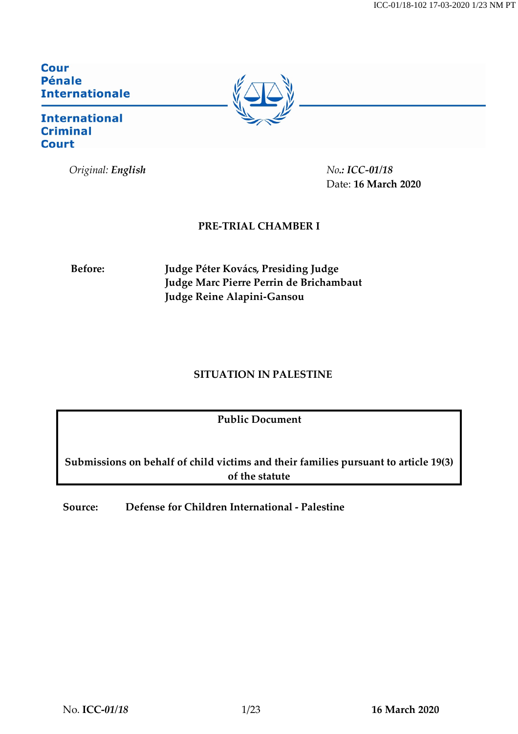ICC-01/18-102 17-03-2020 1/23 NM PT

**Cour Pénale Internationale** 

## **International Criminal Court**

*Original: English No.: ICC-01/18*

Date: **16 March 2020**

# **PRE-TRIAL CHAMBER I**

**Before: Judge Péter Kovács, Presiding Judge Judge Marc Pierre Perrin de Brichambaut Judge Reine Alapini-Gansou**

## **SITUATION IN PALESTINE**

**Public Document**

**Submissions on behalf of child victims and their families pursuant to article 19(3) of the statute**

**Source: Defense for Children International - Palestine**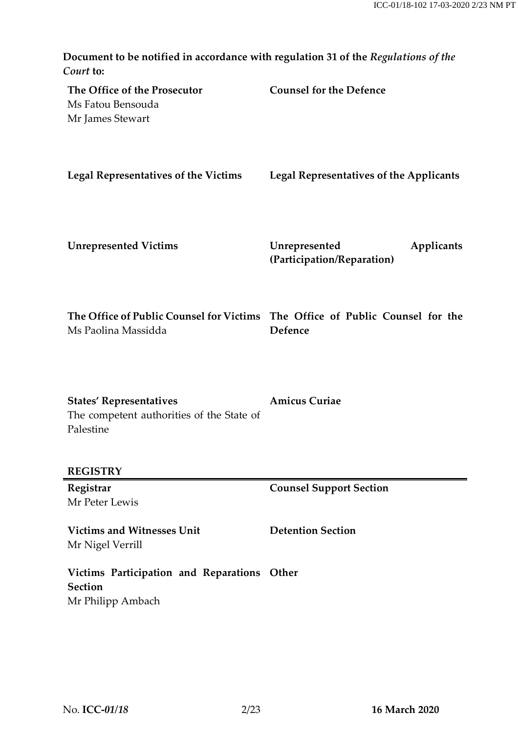| Document to be notified in accordance with regulation 31 of the Regulations of the<br>Court to:      |                                                           |
|------------------------------------------------------------------------------------------------------|-----------------------------------------------------------|
| The Office of the Prosecutor<br>Ms Fatou Bensouda<br>Mr James Stewart                                | <b>Counsel for the Defence</b>                            |
| <b>Legal Representatives of the Victims</b>                                                          | Legal Representatives of the Applicants                   |
| <b>Unrepresented Victims</b>                                                                         | Unrepresented<br>Applicants<br>(Participation/Reparation) |
| The Office of Public Counsel for Victims The Office of Public Counsel for the<br>Ms Paolina Massidda | Defence                                                   |
| <b>States' Representatives</b><br>The competent authorities of the State of<br>Palestine             | <b>Amicus Curiae</b>                                      |
| <b>REGISTRY</b>                                                                                      |                                                           |
| Registrar<br>Mr Peter Lewis                                                                          | <b>Counsel Support Section</b>                            |
| <b>Victims and Witnesses Unit</b><br>Mr Nigel Verrill                                                | <b>Detention Section</b>                                  |
| Victims Participation and Reparations<br><b>Section</b><br>Mr Philipp Ambach                         | Other                                                     |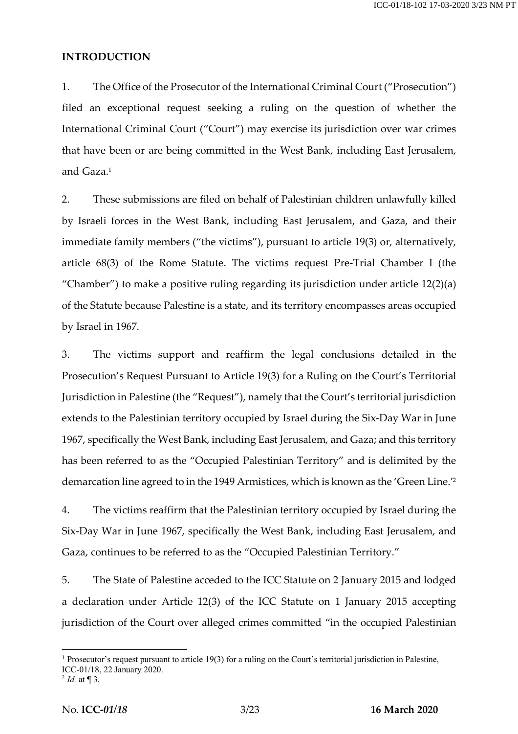#### **INTRODUCTION**

1. The Office of the Prosecutor of the International Criminal Court ("Prosecution") filed an exceptional request seeking a ruling on the question of whether the International Criminal Court ("Court") may exercise its jurisdiction over war crimes that have been or are being committed in the West Bank, including East Jerusalem, and Gaza. 1

2. These submissions are filed on behalf of Palestinian children unlawfully killed by Israeli forces in the West Bank, including East Jerusalem, and Gaza, and their immediate family members ("the victims"), pursuant to article 19(3) or, alternatively, article 68(3) of the Rome Statute. The victims request Pre-Trial Chamber I (the "Chamber") to make a positive ruling regarding its jurisdiction under article 12(2)(a) of the Statute because Palestine is a state, and its territory encompasses areas occupied by Israel in 1967.

3. The victims support and reaffirm the legal conclusions detailed in the Prosecution's Request Pursuant to Article 19(3) for a Ruling on the Court's Territorial Jurisdiction in Palestine (the "Request"), namely that the Court's territorial jurisdiction extends to the Palestinian territory occupied by Israel during the Six-Day War in June 1967, specifically the West Bank, including East Jerusalem, and Gaza; and this territory has been referred to as the "Occupied Palestinian Territory" and is delimited by the demarcation line agreed to in the 1949 Armistices, which is known as the 'Green Line.'2

4. The victims reaffirm that the Palestinian territory occupied by Israel during the Six-Day War in June 1967, specifically the West Bank, including East Jerusalem, and Gaza, continues to be referred to as the "Occupied Palestinian Territory."

5. The State of Palestine acceded to the ICC Statute on 2 January 2015 and lodged a declaration under Article 12(3) of the ICC Statute on 1 January 2015 accepting jurisdiction of the Court over alleged crimes committed "in the occupied Palestinian

<sup>&</sup>lt;sup>1</sup> Prosecutor's request pursuant to article 19(3) for a ruling on the Court's territorial jurisdiction in Palestine, ICC-01/18, 22 January 2020.

<sup>2</sup> *Id.* at ¶ 3.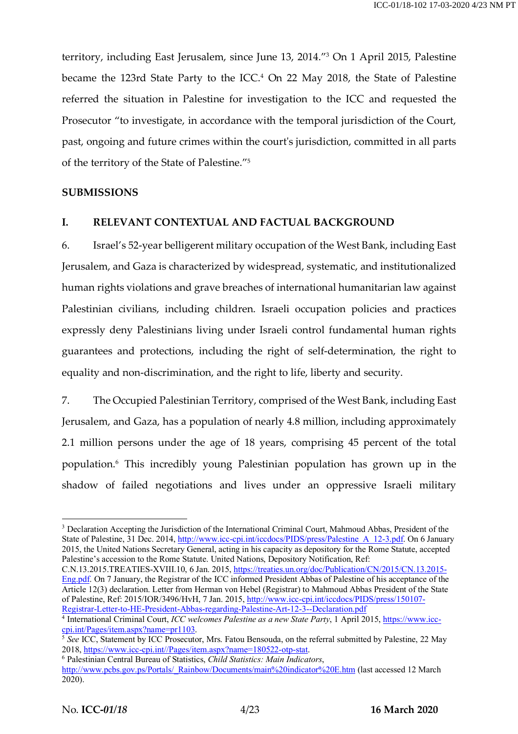territory, including East Jerusalem, since June 13, 2014."3 On 1 April 2015, Palestine became the 123rd State Party to the ICC.4 On 22 May 2018, the State of Palestine referred the situation in Palestine for investigation to the ICC and requested the Prosecutor "to investigate, in accordance with the temporal jurisdiction of the Court, past, ongoing and future crimes within the court's jurisdiction, committed in all parts of the territory of the State of Palestine."5

### **SUBMISSIONS**

### **I. RELEVANT CONTEXTUAL AND FACTUAL BACKGROUND**

6. Israel's 52-year belligerent military occupation of the West Bank, including East Jerusalem, and Gaza is characterized by widespread, systematic, and institutionalized human rights violations and grave breaches of international humanitarian law against Palestinian civilians, including children. Israeli occupation policies and practices expressly deny Palestinians living under Israeli control fundamental human rights guarantees and protections, including the right of self-determination, the right to equality and non-discrimination, and the right to life, liberty and security.

7. The Occupied Palestinian Territory, comprised of the West Bank, including East Jerusalem, and Gaza, has a population of nearly 4.8 million, including approximately 2.1 million persons under the age of 18 years, comprising 45 percent of the total population.6 This incredibly young Palestinian population has grown up in the shadow of failed negotiations and lives under an oppressive Israeli military

C.N.13.2015.TREATIES-XVIII.10, 6 Jan. 2015, https://treaties.un.org/doc/Publication/CN/2015/CN.13.2015- Eng.pdf. On 7 January, the Registrar of the ICC informed President Abbas of Palestine of his acceptance of the Article 12(3) declaration. Letter from Herman von Hebel (Registrar) to Mahmoud Abbas President of the State of Palestine, Ref: 2015/IOR/3496/HvH, 7 Jan. 2015, http://www.icc-cpi.int/iccdocs/PIDS/press/150107- Registrar-Letter-to-HE-President-Abbas-regarding-Palestine-Art-12-3--Declaration.pdf

<sup>&</sup>lt;sup>3</sup> Declaration Accepting the Jurisdiction of the International Criminal Court, Mahmoud Abbas, President of the State of Palestine, 31 Dec. 2014, http://www.icc-cpi.int/iccdocs/PIDS/press/Palestine A\_12-3.pdf. On 6 January 2015, the United Nations Secretary General, acting in his capacity as depository for the Rome Statute, accepted Palestine's accession to the Rome Statute. United Nations, Depository Notification, Ref:

<sup>4</sup> International Criminal Court, *ICC welcomes Palestine as a new State Party*, 1 April 2015, https://www.icccpi.int/Pages/item.aspx?name=pr1103.

<sup>&</sup>lt;sup>5</sup> See ICC, Statement by ICC Prosecutor, Mrs. Fatou Bensouda, on the referral submitted by Palestine, 22 May 2018, https://www.icc-cpi.int//Pages/item.aspx?name=180522-otp-stat. 6 Palestinian Central Bureau of Statistics, *Child Statistics: Main Indicators*,

http://www.pcbs.gov.ps/Portals/\_Rainbow/Documents/main%20indicator%20E.htm (last accessed 12 March 2020).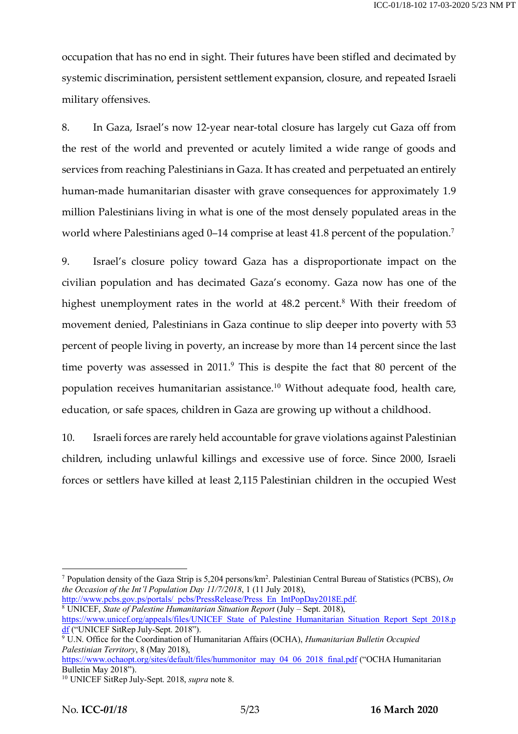occupation that has no end in sight. Their futures have been stifled and decimated by systemic discrimination, persistent settlement expansion, closure, and repeated Israeli military offensives.

8. In Gaza, Israel's now 12-year near-total closure has largely cut Gaza off from the rest of the world and prevented or acutely limited a wide range of goods and services from reaching Palestinians in Gaza. It has created and perpetuated an entirely human-made humanitarian disaster with grave consequences for approximately 1.9 million Palestinians living in what is one of the most densely populated areas in the world where Palestinians aged 0–14 comprise at least 41.8 percent of the population.<sup>7</sup>

9. Israel's closure policy toward Gaza has a disproportionate impact on the civilian population and has decimated Gaza's economy. Gaza now has one of the highest unemployment rates in the world at  $48.2$  percent.<sup>8</sup> With their freedom of movement denied, Palestinians in Gaza continue to slip deeper into poverty with 53 percent of people living in poverty, an increase by more than 14 percent since the last time poverty was assessed in  $2011<sup>9</sup>$ . This is despite the fact that 80 percent of the population receives humanitarian assistance.<sup>10</sup> Without adequate food, health care, education, or safe spaces, children in Gaza are growing up without a childhood.

10. Israeli forces are rarely held accountable for grave violations against Palestinian children, including unlawful killings and excessive use of force. Since 2000, Israeli forces or settlers have killed at least 2,115 Palestinian children in the occupied West

http://www.pcbs.gov.ps/portals/\_pcbs/PressRelease/Press\_En\_IntPopDay2018E.pdf. <sup>8</sup> UNICEF, *State of Palestine Humanitarian Situation Report* (July – Sept. 2018), https://www.unicef.org/appeals/files/UNICEF\_State\_of\_Palestine\_Humanitarian\_Situation\_Report\_Sept\_2018.p df ("UNICEF SitRep July-Sept. 2018").

 <sup>7</sup> Population density of the Gaza Strip is 5,204 persons/km2 . Palestinian Central Bureau of Statistics (PCBS), *On the Occasion of the Int'l Population Day 11/7/2018*, 1 (11 July 2018),

<sup>9</sup> U.N. Office for the Coordination of Humanitarian Affairs (OCHA), *Humanitarian Bulletin Occupied Palestinian Territory*, 8 (May 2018),

https://www.ochaopt.org/sites/default/files/hummonitor\_may\_04\_06\_2018\_final.pdf ("OCHA Humanitarian Bulletin May 2018").

<sup>10</sup> UNICEF SitRep July-Sept. 2018, *supra* note 8.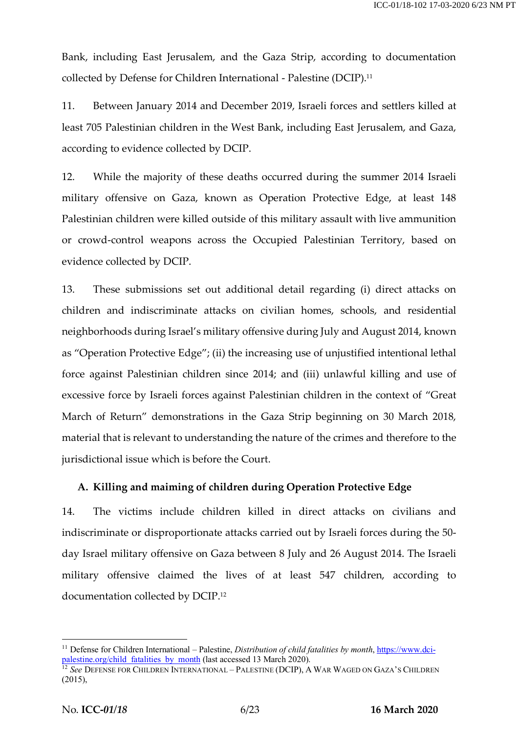Bank, including East Jerusalem, and the Gaza Strip, according to documentation collected by Defense for Children International - Palestine (DCIP). 11

11. Between January 2014 and December 2019, Israeli forces and settlers killed at least 705 Palestinian children in the West Bank, including East Jerusalem, and Gaza, according to evidence collected by DCIP.

12. While the majority of these deaths occurred during the summer 2014 Israeli military offensive on Gaza, known as Operation Protective Edge, at least 148 Palestinian children were killed outside of this military assault with live ammunition or crowd-control weapons across the Occupied Palestinian Territory, based on evidence collected by DCIP.

13. These submissions set out additional detail regarding (i) direct attacks on children and indiscriminate attacks on civilian homes, schools, and residential neighborhoods during Israel's military offensive during July and August 2014, known as "Operation Protective Edge"; (ii) the increasing use of unjustified intentional lethal force against Palestinian children since 2014; and (iii) unlawful killing and use of excessive force by Israeli forces against Palestinian children in the context of "Great March of Return" demonstrations in the Gaza Strip beginning on 30 March 2018, material that is relevant to understanding the nature of the crimes and therefore to the jurisdictional issue which is before the Court.

#### **A. Killing and maiming of children during Operation Protective Edge**

14. The victims include children killed in direct attacks on civilians and indiscriminate or disproportionate attacks carried out by Israeli forces during the 50 day Israel military offensive on Gaza between 8 July and 26 August 2014. The Israeli military offensive claimed the lives of at least 547 children, according to documentation collected by DCIP. 12

 <sup>11</sup> Defense for Children International – Palestine, *Distribution of child fatalities by month*, https://www.dcipalestine.org/child\_fatalities\_by\_month (last accessed 13 March 2020).

<sup>&</sup>lt;sup>12</sup> See DEFENSE FOR CHILDREN INTERNATIONAL – PALESTINE (DCIP), A WAR WAGED ON GAZA'S CHILDREN (2015),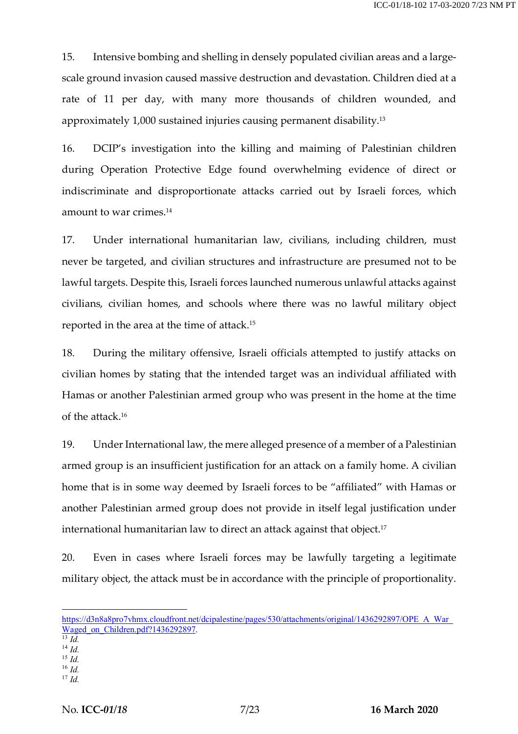15. Intensive bombing and shelling in densely populated civilian areas and a largescale ground invasion caused massive destruction and devastation. Children died at a rate of 11 per day, with many more thousands of children wounded, and approximately 1,000 sustained injuries causing permanent disability.13

16. DCIP's investigation into the killing and maiming of Palestinian children during Operation Protective Edge found overwhelming evidence of direct or indiscriminate and disproportionate attacks carried out by Israeli forces, which amount to war crimes.14

17. Under international humanitarian law, civilians, including children, must never be targeted, and civilian structures and infrastructure are presumed not to be lawful targets. Despite this, Israeli forces launched numerous unlawful attacks against civilians, civilian homes, and schools where there was no lawful military object reported in the area at the time of attack.15

18. During the military offensive, Israeli officials attempted to justify attacks on civilian homes by stating that the intended target was an individual affiliated with Hamas or another Palestinian armed group who was present in the home at the time of the attack.16

19. Under International law, the mere alleged presence of a member of a Palestinian armed group is an insufficient justification for an attack on a family home. A civilian home that is in some way deemed by Israeli forces to be "affiliated" with Hamas or another Palestinian armed group does not provide in itself legal justification under international humanitarian law to direct an attack against that object.17

20. Even in cases where Israeli forces may be lawfully targeting a legitimate military object, the attack must be in accordance with the principle of proportionality.

- $^{14}$  *Id.*
- <sup>15</sup> *Id.* <sup>16</sup> *Id.*

https://d3n8a8pro7vhmx.cloudfront.net/dcipalestine/pages/530/attachments/original/1436292897/OPE\_A\_War\_ Waged\_on\_Children.pdf?1436292897.

<sup>13</sup> *Id.*

<sup>17</sup> *Id.*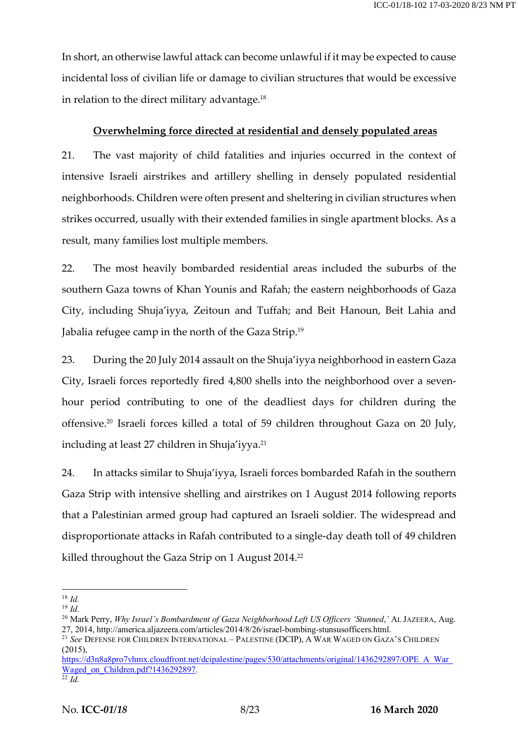In short, an otherwise lawful attack can become unlawful if it may be expected to cause incidental loss of civilian life or damage to civilian structures that would be excessive in relation to the direct military advantage.18

### **Overwhelming force directed at residential and densely populated areas**

21. The vast majority of child fatalities and injuries occurred in the context of intensive Israeli airstrikes and artillery shelling in densely populated residential neighborhoods. Children were often present and sheltering in civilian structures when strikes occurred, usually with their extended families in single apartment blocks. As a result, many families lost multiple members.

22. The most heavily bombarded residential areas included the suburbs of the southern Gaza towns of Khan Younis and Rafah; the eastern neighborhoods of Gaza City, including Shuja'iyya, Zeitoun and Tuffah; and Beit Hanoun, Beit Lahia and Jabalia refugee camp in the north of the Gaza Strip.19

23. During the 20 July 2014 assault on the Shuja'iyya neighborhood in eastern Gaza City, Israeli forces reportedly fired 4,800 shells into the neighborhood over a sevenhour period contributing to one of the deadliest days for children during the offensive.20 Israeli forces killed a total of 59 children throughout Gaza on 20 July, including at least 27 children in Shuja'iyya. 21

24. In attacks similar to Shuja'iyya, Israeli forces bombarded Rafah in the southern Gaza Strip with intensive shelling and airstrikes on 1 August 2014 following reports that a Palestinian armed group had captured an Israeli soldier. The widespread and disproportionate attacks in Rafah contributed to a single-day death toll of 49 children killed throughout the Gaza Strip on 1 August 2014. 22

 <sup>18</sup> *Id.*

<sup>19</sup> *Id.*

<sup>20</sup> Mark Perry, *Why Israel's Bombardment of Gaza Neighborhood Left US Officers 'Stunned*,*'* AL JAZEERA, Aug. 27, 2014, http://america.aljazeera.com/articles/2014/8/26/israel-bombing-stunsusofficers.html.

<sup>21</sup> *See* DEFENSE FOR CHILDREN INTERNATIONAL – PALESTINE (DCIP), A WAR WAGED ON GAZA'S CHILDREN (2015),

https://d3n8a8pro7vhmx.cloudfront.net/dcipalestine/pages/530/attachments/original/1436292897/OPE\_A\_War\_ Waged\_on\_Children.pdf?1436292897.

 $\overline{\overline{22} \overline{Id}}$ .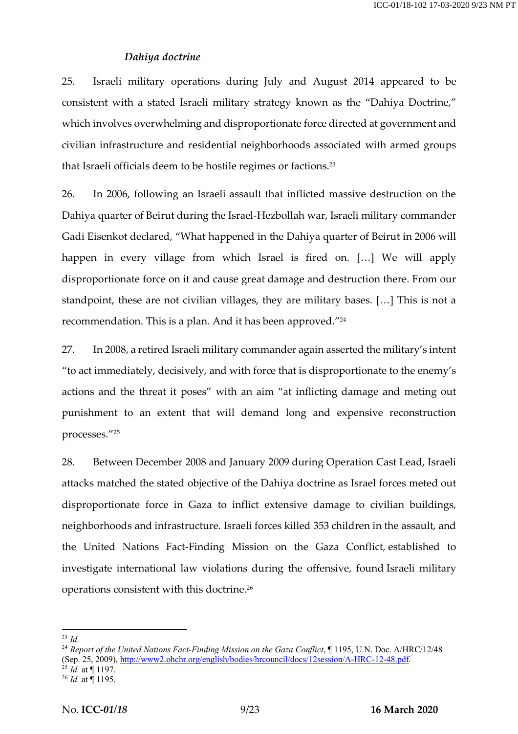### *Dahiya doctrine*

25. Israeli military operations during July and August 2014 appeared to be consistent with a stated Israeli military strategy known as the "Dahiya Doctrine," which involves overwhelming and disproportionate force directed at government and civilian infrastructure and residential neighborhoods associated with armed groups that Israeli officials deem to be hostile regimes or factions.23

26. In 2006, following an Israeli assault that inflicted massive destruction on the Dahiya quarter of Beirut during the Israel-Hezbollah war, Israeli military commander Gadi Eisenkot declared, "What happened in the Dahiya quarter of Beirut in 2006 will happen in every village from which Israel is fired on. […] We will apply disproportionate force on it and cause great damage and destruction there. From our standpoint, these are not civilian villages, they are military bases. […] This is not a recommendation. This is a plan. And it has been approved."24

27. In 2008, a retired Israeli military commander again asserted the military's intent "to act immediately, decisively, and with force that is disproportionate to the enemy's actions and the threat it poses" with an aim "at inflicting damage and meting out punishment to an extent that will demand long and expensive reconstruction processes."25

28. Between December 2008 and January 2009 during Operation Cast Lead, Israeli attacks matched the stated objective of the Dahiya doctrine as Israel forces meted out disproportionate force in Gaza to inflict extensive damage to civilian buildings, neighborhoods and infrastructure. Israeli forces killed 353 children in the assault, and the United Nations Fact-Finding Mission on the Gaza Conflict, established to investigate international law violations during the offensive, found Israeli military operations consistent with this doctrine.26

 <sup>23</sup> *Id.*

<sup>&</sup>lt;sup>24</sup> Report of the United Nations Fact-Finding Mission on the Gaza Conflict, ¶ 1195, U.N. Doc. A/HRC/12/48 (Sep. 25, 2009), http://www2.ohchr.org/english/bodies/hrcouncil/docs/12session/A-HRC-12-48.pdf.  $^{25}$  *Id.* at  $\acute{$  1197.

<sup>26</sup> *Id.* at ¶ 1195.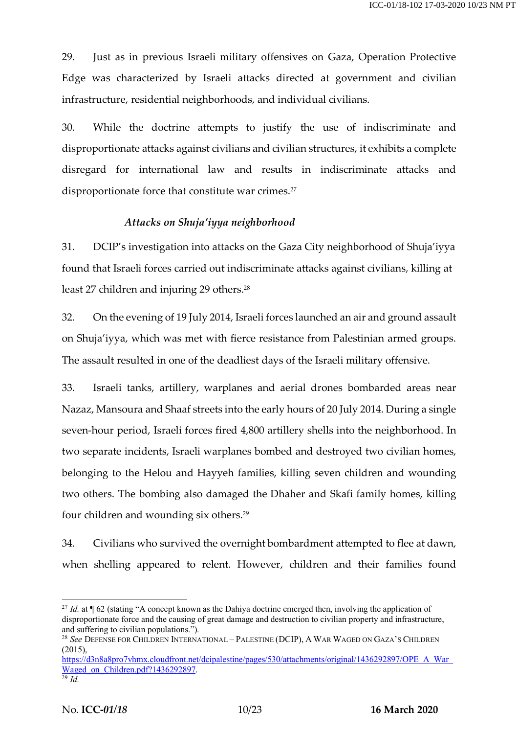29. Just as in previous Israeli military offensives on Gaza, Operation Protective Edge was characterized by Israeli attacks directed at government and civilian infrastructure, residential neighborhoods, and individual civilians.

30. While the doctrine attempts to justify the use of indiscriminate and disproportionate attacks against civilians and civilian structures, it exhibits a complete disregard for international law and results in indiscriminate attacks and disproportionate force that constitute war crimes.<sup>27</sup>

#### *Attacks on Shuja'iyya neighborhood*

31. DCIP's investigation into attacks on the Gaza City neighborhood of Shuja'iyya found that Israeli forces carried out indiscriminate attacks against civilians, killing at least 27 children and injuring 29 others.<sup>28</sup>

32. On the evening of 19 July 2014, Israeli forces launched an air and ground assault on Shuja'iyya, which was met with fierce resistance from Palestinian armed groups. The assault resulted in one of the deadliest days of the Israeli military offensive.

33. Israeli tanks, artillery, warplanes and aerial drones bombarded areas near Nazaz, Mansoura and Shaaf streets into the early hours of 20 July 2014. During a single seven-hour period, Israeli forces fired 4,800 artillery shells into the neighborhood. In two separate incidents, Israeli warplanes bombed and destroyed two civilian homes, belonging to the Helou and Hayyeh families, killing seven children and wounding two others. The bombing also damaged the Dhaher and Skafi family homes, killing four children and wounding six others.<sup>29</sup>

34. Civilians who survived the overnight bombardment attempted to flee at dawn, when shelling appeared to relent. However, children and their families found

<sup>&</sup>lt;sup>27</sup> *Id.* at ¶ 62 (stating "A concept known as the Dahiya doctrine emerged then, involving the application of disproportionate force and the causing of great damage and destruction to civilian property and infrastructure, and suffering to civilian populations.").

<sup>28</sup> *See* DEFENSE FOR CHILDREN INTERNATIONAL – PALESTINE (DCIP), A WAR WAGED ON GAZA'S CHILDREN (2015),

https://d3n8a8pro7vhmx.cloudfront.net/dcipalestine/pages/530/attachments/original/1436292897/OPE\_A\_War\_ Waged\_on\_Children.pdf?1436292897.

<sup>29</sup> *Id.*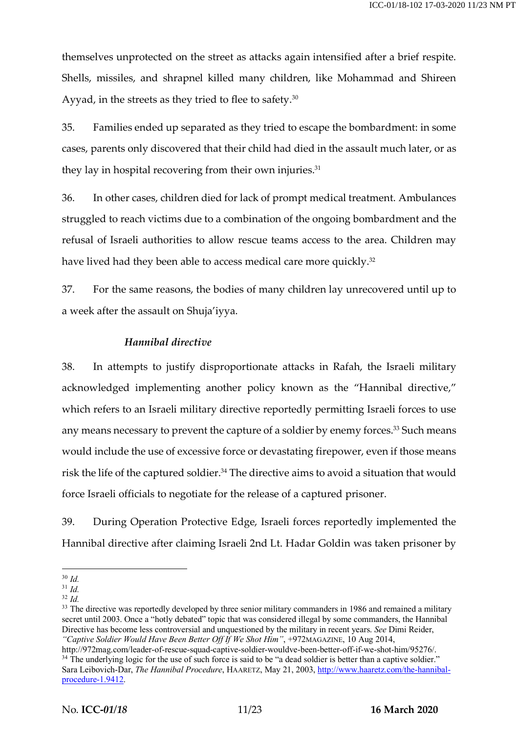themselves unprotected on the street as attacks again intensified after a brief respite. Shells, missiles, and shrapnel killed many children, like Mohammad and Shireen Ayyad, in the streets as they tried to flee to safety.<sup>30</sup>

35. Families ended up separated as they tried to escape the bombardment: in some cases, parents only discovered that their child had died in the assault much later, or as they lay in hospital recovering from their own injuries. $31$ 

36. In other cases, children died for lack of prompt medical treatment. Ambulances struggled to reach victims due to a combination of the ongoing bombardment and the refusal of Israeli authorities to allow rescue teams access to the area. Children may have lived had they been able to access medical care more quickly.<sup>32</sup>

37. For the same reasons, the bodies of many children lay unrecovered until up to a week after the assault on Shuja'iyya.

### *Hannibal directive*

38. In attempts to justify disproportionate attacks in Rafah, the Israeli military acknowledged implementing another policy known as the "Hannibal directive," which refers to an Israeli military directive reportedly permitting Israeli forces to use any means necessary to prevent the capture of a soldier by enemy forces.<sup>33</sup> Such means would include the use of excessive force or devastating firepower, even if those means risk the life of the captured soldier.<sup>34</sup> The directive aims to avoid a situation that would force Israeli officials to negotiate for the release of a captured prisoner.

39. During Operation Protective Edge, Israeli forces reportedly implemented the Hannibal directive after claiming Israeli 2nd Lt. Hadar Goldin was taken prisoner by

<sup>33</sup> The directive was reportedly developed by three senior military commanders in 1986 and remained a military secret until 2003. Once a "hotly debated" topic that was considered illegal by some commanders, the Hannibal Directive has become less controversial and unquestioned by the military in recent years. *See* Dimi Reider, *"Captive Soldier Would Have Been Better Off If We Shot Him"*, +972MAGAZINE, 10 Aug 2014,

 <sup>30</sup> *Id.*

<sup>31</sup> *Id.*

<sup>32</sup> *Id.*

http://972mag.com/leader-of-rescue-squad-captive-soldier-wouldve-been-better-off-if-we-shot-him/95276/. <sup>34</sup> The underlying logic for the use of such force is said to be "a dead soldier is better than a captive soldier." Sara Leibovich-Dar, *The Hannibal Procedure*, HAARETZ, May 21, 2003, http://www.haaretz.com/the-hannibalprocedure-1.9412.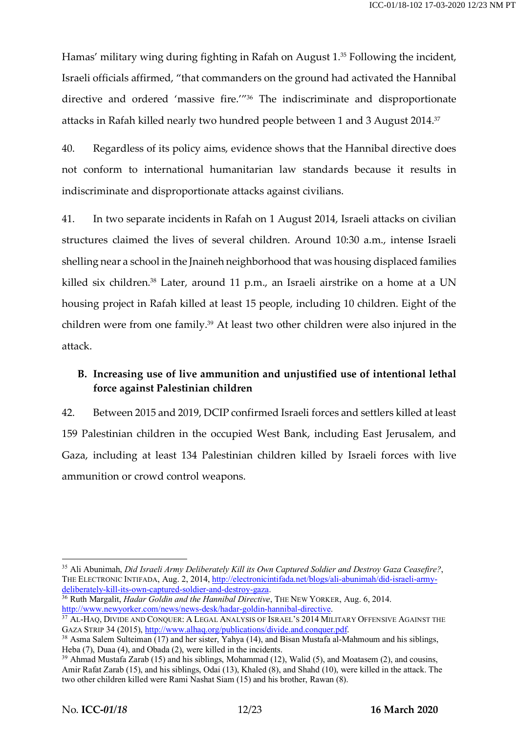Hamas' military wing during fighting in Rafah on August 1.35 Following the incident, Israeli officials affirmed, "that commanders on the ground had activated the Hannibal directive and ordered 'massive fire.'"36 The indiscriminate and disproportionate attacks in Rafah killed nearly two hundred people between 1 and 3 August 2014. 37

40. Regardless of its policy aims, evidence shows that the Hannibal directive does not conform to international humanitarian law standards because it results in indiscriminate and disproportionate attacks against civilians.

41. In two separate incidents in Rafah on 1 August 2014, Israeli attacks on civilian structures claimed the lives of several children. Around 10:30 a.m., intense Israeli shelling near a school in the Jnaineh neighborhood that was housing displaced families killed six children.<sup>38</sup> Later, around 11 p.m., an Israeli airstrike on a home at a UN housing project in Rafah killed at least 15 people, including 10 children. Eight of the children were from one family.39 At least two other children were also injured in the attack.

# **B. Increasing use of live ammunition and unjustified use of intentional lethal force against Palestinian children**

42. Between 2015 and 2019, DCIP confirmed Israeli forces and settlers killed at least 159 Palestinian children in the occupied West Bank, including East Jerusalem, and Gaza, including at least 134 Palestinian children killed by Israeli forces with live ammunition or crowd control weapons.

 <sup>35</sup> Ali Abunimah, *Did Israeli Army Deliberately Kill its Own Captured Soldier and Destroy Gaza Ceasefire?*, THE ELECTRONIC INTIFADA, Aug. 2, 2014, http://electronicintifada.net/blogs/ali-abunimah/did-israeli-armydeliberately-kill-its-own-captured-soldier-and-destroy-gaza.<br><sup>36</sup> Ruth Margalit, *Hadar Goldin and the Hannibal Directive*, THE NEW YORKER, Aug. 6, 2014.

http://www.newyorker.com/news/news-desk/hadar-goldin-hannibal-directive.

<sup>&</sup>lt;sup>37</sup> AL-HAQ, DIVIDE AND CONQUER: A LEGAL ANALYSIS OF ISRAEL'S 2014 MILITARY OFFENSIVE AGAINST THE GAZA STRIP 34 (2015), http://www.alhaq.org/publications/divide.and.conquer.pdf.

<sup>&</sup>lt;sup>38</sup> Asma Salem Sulteiman (17) and her sister, Yahya (14), and Bisan Mustafa al-Mahmoum and his siblings, Heba (7), Duaa (4), and Obada (2), were killed in the incidents.

<sup>&</sup>lt;sup>39</sup> Ahmad Mustafa Zarab (15) and his siblings, Mohammad (12), Walid (5), and Moatasem (2), and cousins, Amir Rafat Zarab (15), and his siblings, Odai (13), Khaled (8), and Shahd (10), were killed in the attack. The two other children killed were Rami Nashat Siam (15) and his brother, Rawan (8).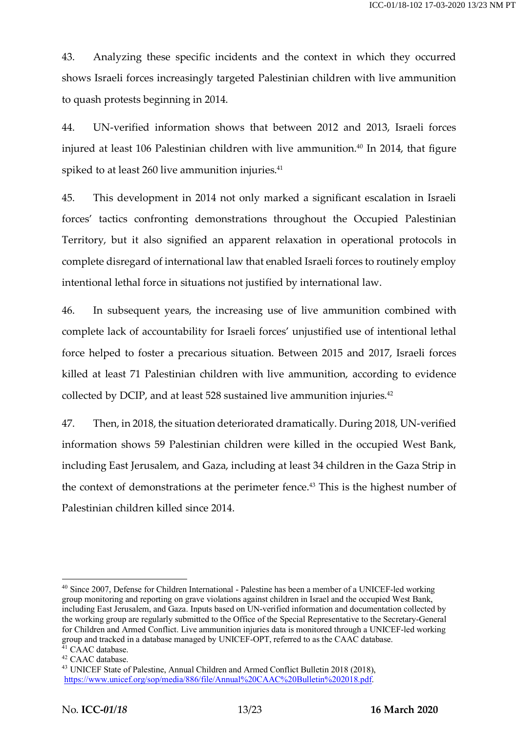43. Analyzing these specific incidents and the context in which they occurred shows Israeli forces increasingly targeted Palestinian children with live ammunition to quash protests beginning in 2014.

44. UN-verified information shows that between 2012 and 2013, Israeli forces injured at least 106 Palestinian children with live ammunition.<sup>40</sup> In 2014, that figure spiked to at least 260 live ammunition injuries.<sup>41</sup>

45. This development in 2014 not only marked a significant escalation in Israeli forces' tactics confronting demonstrations throughout the Occupied Palestinian Territory, but it also signified an apparent relaxation in operational protocols in complete disregard of international law that enabled Israeli forces to routinely employ intentional lethal force in situations not justified by international law.

46. In subsequent years, the increasing use of live ammunition combined with complete lack of accountability for Israeli forces' unjustified use of intentional lethal force helped to foster a precarious situation. Between 2015 and 2017, Israeli forces killed at least 71 Palestinian children with live ammunition, according to evidence collected by DCIP, and at least 528 sustained live ammunition injuries.42

47. Then, in 2018, the situation deteriorated dramatically. During 2018, UN-verified information shows 59 Palestinian children were killed in the occupied West Bank, including East Jerusalem, and Gaza, including at least 34 children in the Gaza Strip in the context of demonstrations at the perimeter fence.43 This is the highest number of Palestinian children killed since 2014.

 <sup>40</sup> Since 2007, Defense for Children International - Palestine has been a member of a UNICEF-led working group monitoring and reporting on grave violations against children in Israel and the occupied West Bank, including East Jerusalem, and Gaza. Inputs based on UN-verified information and documentation collected by the working group are regularly submitted to the Office of the Special Representative to the Secretary-General for Children and Armed Conflict. Live ammunition injuries data is monitored through a UNICEF-led working group and tracked in a database managed by UNICEF-OPT, referred to as the CAAC database. <sup>41</sup> CAAC database.

<sup>42</sup> CAAC database.

<sup>43</sup> UNICEF State of Palestine, Annual Children and Armed Conflict Bulletin 2018 (2018), https://www.unicef.org/sop/media/886/file/Annual%20CAAC%20Bulletin%202018.pdf.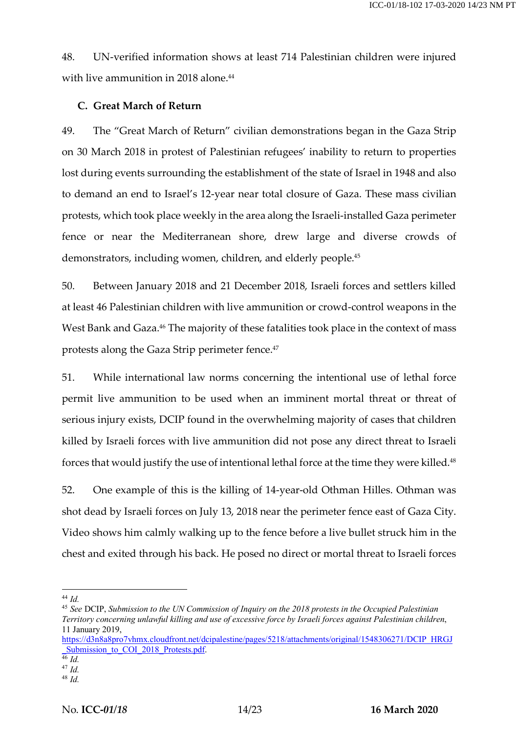48. UN-verified information shows at least 714 Palestinian children were injured with live ammunition in 2018 alone.<sup>44</sup>

# **C. Great March of Return**

49. The "Great March of Return" civilian demonstrations began in the Gaza Strip on 30 March 2018 in protest of Palestinian refugees' inability to return to properties lost during events surrounding the establishment of the state of Israel in 1948 and also to demand an end to Israel's 12-year near total closure of Gaza. These mass civilian protests, which took place weekly in the area along the Israeli-installed Gaza perimeter fence or near the Mediterranean shore, drew large and diverse crowds of demonstrators, including women, children, and elderly people.45

50. Between January 2018 and 21 December 2018, Israeli forces and settlers killed at least 46 Palestinian children with live ammunition or crowd-control weapons in the West Bank and Gaza.<sup>46</sup> The majority of these fatalities took place in the context of mass protests along the Gaza Strip perimeter fence.<sup>47</sup>

51. While international law norms concerning the intentional use of lethal force permit live ammunition to be used when an imminent mortal threat or threat of serious injury exists, DCIP found in the overwhelming majority of cases that children killed by Israeli forces with live ammunition did not pose any direct threat to Israeli forces that would justify the use of intentional lethal force at the time they were killed.<sup>48</sup>

52. One example of this is the killing of 14-year-old Othman Hilles. Othman was shot dead by Israeli forces on July 13, 2018 near the perimeter fence east of Gaza City. Video shows him calmly walking up to the fence before a live bullet struck him in the chest and exited through his back. He posed no direct or mortal threat to Israeli forces

https://d3n8a8pro7vhmx.cloudfront.net/dcipalestine/pages/5218/attachments/original/1548306271/DCIP\_HRGJ Submission to COI 2018 Protests.pdf.

 <sup>44</sup> *Id.*

<sup>45</sup> *See* DCIP, *Submission to the UN Commission of Inquiry on the 2018 protests in the Occupied Palestinian Territory concerning unlawful killing and use of excessive force by Israeli forces against Palestinian children*, 11 January 2019,

<sup>46</sup> *Id.*

<sup>47</sup> *Id.*

<sup>48</sup> *Id.*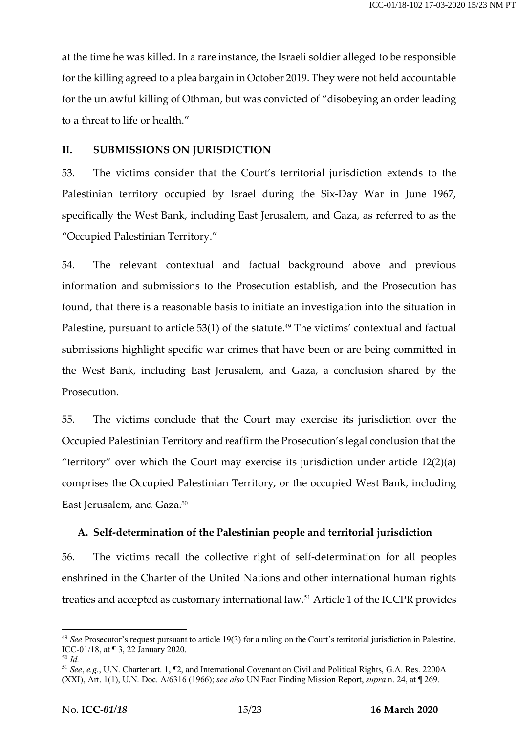at the time he was killed. In a rare instance, the Israeli soldier alleged to be responsible for the killing agreed to a plea bargain in October 2019. They were not held accountable for the unlawful killing of Othman, but was convicted of "disobeying an order leading to a threat to life or health."

#### **II. SUBMISSIONS ON JURISDICTION**

53. The victims consider that the Court's territorial jurisdiction extends to the Palestinian territory occupied by Israel during the Six-Day War in June 1967, specifically the West Bank, including East Jerusalem, and Gaza, as referred to as the "Occupied Palestinian Territory."

54. The relevant contextual and factual background above and previous information and submissions to the Prosecution establish, and the Prosecution has found, that there is a reasonable basis to initiate an investigation into the situation in Palestine, pursuant to article 53(1) of the statute.<sup>49</sup> The victims' contextual and factual submissions highlight specific war crimes that have been or are being committed in the West Bank, including East Jerusalem, and Gaza, a conclusion shared by the Prosecution.

55. The victims conclude that the Court may exercise its jurisdiction over the Occupied Palestinian Territory and reaffirm the Prosecution's legal conclusion that the "territory" over which the Court may exercise its jurisdiction under article  $12(2)(a)$ comprises the Occupied Palestinian Territory, or the occupied West Bank, including East Jerusalem, and Gaza.50

#### **A. Self-determination of the Palestinian people and territorial jurisdiction**

56. The victims recall the collective right of self-determination for all peoples enshrined in the Charter of the United Nations and other international human rights treaties and accepted as customary international law.<sup>51</sup> Article 1 of the ICCPR provides

 <sup>49</sup> *See* Prosecutor's request pursuant to article 19(3) for a ruling on the Court's territorial jurisdiction in Palestine, ICC-01/18, at ¶ 3, 22 January 2020. <sup>50</sup> *Id.*

<sup>51</sup> *See*, *e.g.*, U.N. Charter art. 1, ¶2, and International Covenant on Civil and Political Rights, G.A. Res. 2200A (XXI), Art. 1(1), U.N. Doc. A/6316 (1966); *see also* UN Fact Finding Mission Report, *supra* n. 24, at ¶ 269.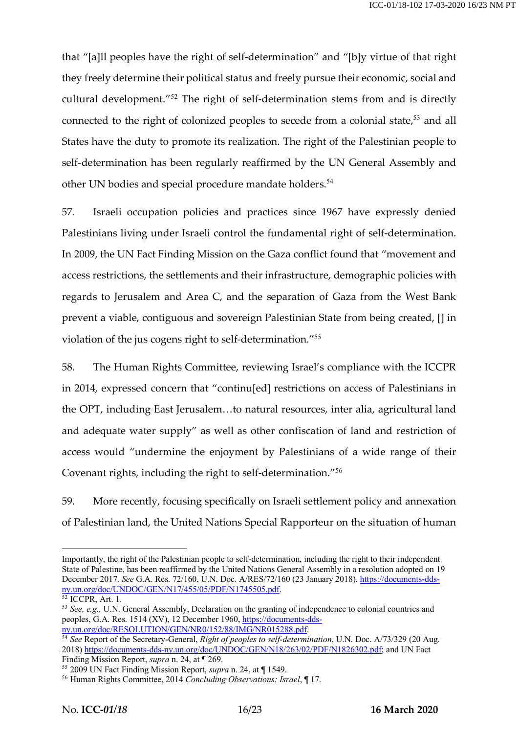that "[a]ll peoples have the right of self-determination" and "[b]y virtue of that right they freely determine their political status and freely pursue their economic, social and cultural development."<sup>52</sup> The right of self-determination stems from and is directly connected to the right of colonized peoples to secede from a colonial state, $53$  and all States have the duty to promote its realization. The right of the Palestinian people to self-determination has been regularly reaffirmed by the UN General Assembly and other UN bodies and special procedure mandate holders.<sup>54</sup>

57. Israeli occupation policies and practices since 1967 have expressly denied Palestinians living under Israeli control the fundamental right of self-determination. In 2009, the UN Fact Finding Mission on the Gaza conflict found that "movement and access restrictions, the settlements and their infrastructure, demographic policies with regards to Jerusalem and Area C, and the separation of Gaza from the West Bank prevent a viable, contiguous and sovereign Palestinian State from being created, [] in violation of the jus cogens right to self-determination."<sup>55</sup>

58. The Human Rights Committee, reviewing Israel's compliance with the ICCPR in 2014, expressed concern that "continu[ed] restrictions on access of Palestinians in the OPT, including East Jerusalem…to natural resources, inter alia, agricultural land and adequate water supply" as well as other confiscation of land and restriction of access would "undermine the enjoyment by Palestinians of a wide range of their Covenant rights, including the right to self-determination."<sup>56</sup>

59. More recently, focusing specifically on Israeli settlement policy and annexation of Palestinian land, the United Nations Special Rapporteur on the situation of human

 $\overline{a}$ 

Importantly, the right of the Palestinian people to self-determination, including the right to their independent State of Palestine, has been reaffirmed by the United Nations General Assembly in a resolution adopted on 19 December 2017. *See* G.A. Res. 72/160, U.N. Doc. A/RES/72/160 (23 January 2018), https://documents-ddsny.un.org/doc/UNDOC/GEN/N17/455/05/PDF/N1745505.pdf.

 $\overline{52}$  ICCPR, Art. 1.

<sup>53</sup> *See, e.g.,* U.N. General Assembly, Declaration on the granting of independence to colonial countries and peoples, G.A. Res. 1514 (XV), 12 December 1960, https://documents-ddsny.un.org/doc/RESOLUTION/GEN/NR0/152/88/IMG/NR015288.pdf.

<sup>54</sup> *See* Report of the Secretary-General, *Right of peoples to self-determination*, U.N. Doc. A/73/329 (20 Aug. 2018) https://documents-dds-ny.un.org/doc/UNDOC/GEN/N18/263/02/PDF/N1826302.pdf; and UN Fact Finding Mission Report, *supra* n. 24, at ¶ 269.

<sup>55</sup> 2009 UN Fact Finding Mission Report, *supra* n. 24, at ¶ 1549.

<sup>56</sup> Human Rights Committee, 2014 *Concluding Observations: Israel*, ¶ 17.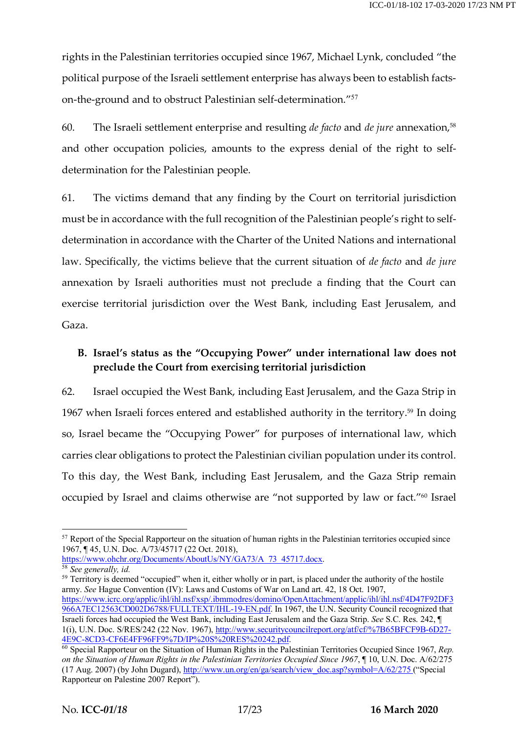rights in the Palestinian territories occupied since 1967, Michael Lynk, concluded "the political purpose of the Israeli settlement enterprise has always been to establish factson-the-ground and to obstruct Palestinian self-determination."<sup>57</sup>

60. The Israeli settlement enterprise and resulting *de facto* and *de jure* annexation,58 and other occupation policies, amounts to the express denial of the right to selfdetermination for the Palestinian people.

61. The victims demand that any finding by the Court on territorial jurisdiction must be in accordance with the full recognition of the Palestinian people's right to selfdetermination in accordance with the Charter of the United Nations and international law. Specifically, the victims believe that the current situation of *de facto* and *de jure* annexation by Israeli authorities must not preclude a finding that the Court can exercise territorial jurisdiction over the West Bank, including East Jerusalem, and Gaza.

# **B. Israel's status as the "Occupying Power" under international law does not preclude the Court from exercising territorial jurisdiction**

62. Israel occupied the West Bank, including East Jerusalem, and the Gaza Strip in 1967 when Israeli forces entered and established authority in the territory.<sup>59</sup> In doing so, Israel became the "Occupying Power" for purposes of international law, which carries clear obligations to protect the Palestinian civilian population under its control. To this day, the West Bank, including East Jerusalem, and the Gaza Strip remain occupied by Israel and claims otherwise are "not supported by law or fact."60 Israel

https://www.ohchr.org/Documents/AboutUs/NY/GA73/A\_73\_45717.docx.

<sup>&</sup>lt;sup>57</sup> Report of the Special Rapporteur on the situation of human rights in the Palestinian territories occupied since 1967, ¶ 45, U.N. Doc. A/73/45717 (22 Oct. 2018),

<sup>58</sup> *See generally, id.*

 $59$  Territory is deemed "occupied" when it, either wholly or in part, is placed under the authority of the hostile army. *See* Hague Convention (IV): Laws and Customs of War on Land art. 42, 18 Oct. 1907, https://www.icrc.org/applic/ihl/ihl.nsf/xsp/.ibmmodres/domino/OpenAttachment/applic/ihl/ihl.nsf/4D47F92DF3 966A7EC12563CD002D6788/FULLTEXT/IHL-19-EN.pdf. In 1967, the U.N. Security Council recognized that Israeli forces had occupied the West Bank, including East Jerusalem and the Gaza Strip. *See* S.C. Res. 242, ¶ 1(i), U.N. Doc. S/RES/242 (22 Nov. 1967), http://www.securitycouncilreport.org/atf/cf/%7B65BFCF9B-6D27- 4E9C-8CD3-CF6E4FF96FF9%7D/IP%20S%20RES%20242.pdf.

<sup>60</sup> Special Rapporteur on the Situation of Human Rights in the Palestinian Territories Occupied Since 1967, *Rep. on the Situation of Human Rights in the Palestinian Territories Occupied Since 1967*, ¶ 10, U.N. Doc. A/62/275 (17 Aug. 2007) (by John Dugard), http://www.un.org/en/ga/search/view\_doc.asp?symbol=A/62/275 ("Special Rapporteur on Palestine 2007 Report").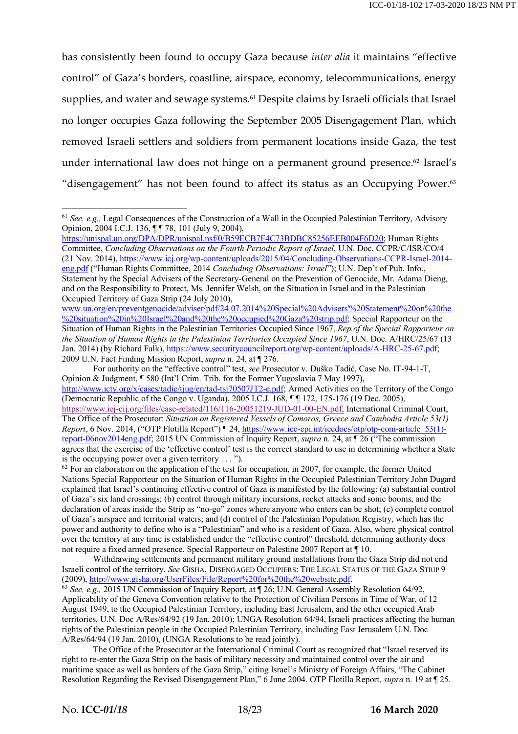has consistently been found to occupy Gaza because *inter alia* it maintains "effective control" of Gaza's borders, coastline, airspace, economy, telecommunications, energy supplies, and water and sewage systems.<sup>61</sup> Despite claims by Israeli officials that Israel no longer occupies Gaza following the September 2005 Disengagement Plan, which removed Israeli settlers and soldiers from permanent locations inside Gaza, the test under international law does not hinge on a permanent ground presence.<sup>62</sup> Israel's "disengagement" has not been found to affect its status as an Occupying Power.<sup>63</sup>

https://unispal.un.org/DPA/DPR/unispal.nsf/0/B59ECB7F4C73BDBC85256EEB004F6D20; Human Rights Committee, *Concluding Observations on the Fourth Periodic Report of Israel*, U.N. Doc. CCPR/C/ISR/CO/4 (21 Nov. 2014), https://www.icj.org/wp-content/uploads/2015/04/Concluding-Observations-CCPR-Israel-2014 eng.pdf ("Human Rights Committee, 2014 *Concluding Observations: Israel*"); U.N. Dep't of Pub. Info., Statement by the Special Advisers of the Secretary-General on the Prevention of Genocide, Mr. Adama Dieng, and on the Responsibility to Protect, Ms. Jennifer Welsh, on the Situation in Israel and in the Palestinian Occupied Territory of Gaza Strip (24 July 2010),

www.un.org/en/preventgenocide/adviser/pdf/24.07.2014%20Special%20Advisers'%20Statement%20on%20the %20situation%20in%20Israel%20and%20the%20occupied%20Gaza%20strip.pdf; Special Rapporteur on the Situation of Human Rights in the Palestinian Territories Occupied Since 1967, *Rep.of the Special Rapporteur on the Situation of Human Rights in the Palestinian Territories Occupied Since 1967*, U.N. Doc. A/HRC/25/67 (13 Jan. 2014) (by Richard Falk), https://www.securitycouncilreport.org/wp-content/uploads/A-HRC-25-67.pdf; 2009 U.N. Fact Finding Mission Report, *supra* n. 24, at ¶ 276.

For authority on the "effective control" test, *see* Prosecutor v. Duško Tadić, Case No. IT-94-1-T, Opinion & Judgment, ¶ 580 (Int'l Crim. Trib. for the Former Yugoslavia 7 May 1997), http://www.icty.org/x/cases/tadic/tjug/en/tad-tsj70507JT2-e.pdf; Armed Activities on the Territory of the Congo (Democratic Republic of the Congo v. Uganda), 2005 I.C.J. 168, ¶ ¶ 172, 175-176 (19 Dec. 2005), https://www.icj-cij.org/files/case-related/116/116-20051219-JUD-01-00-EN.pdf; International Criminal Court, The Office of the Prosecutor: *Situation on Registered Vessels of Comoros, Greece and Cambodia Article 53(1) Report*, 6 Nov. 2014, ("OTP Flotilla Report") ¶ 24, https://www.icc-cpi.int/iccdocs/otp/otp-com-article\_53(1) report-06nov2014eng.pdf; 2015 UN Commission of Inquiry Report, *supra* n. 24, at ¶ 26 ("The commission agrees that the exercise of the 'effective control' test is the correct standard to use in determining whether a State is the occupying power over a given territory . . . ").

 $62$  For an elaboration on the application of the test for occupation, in 2007, for example, the former United Nations Special Rapporteur on the Situation of Human Rights in the Occupied Palestinian Territory John Dugard explained that Israel's continuing effective control of Gaza is manifested by the following: (a) substantial control of Gaza's six land crossings; (b) control through military incursions, rocket attacks and sonic booms, and the declaration of areas inside the Strip as "no-go" zones where anyone who enters can be shot; (c) complete control of Gaza's airspace and territorial waters; and (d) control of the Palestinian Population Registry, which has the power and authority to define who is a "Palestinian" and who is a resident of Gaza. Also, where physical control over the territory at any time is established under the "effective control" threshold, determining authority does not require a fixed armed presence. Special Rapporteur on Palestine 2007 Report at ¶ 10.

Withdrawing settlements and permanent military ground installations from the Gaza Strip did not end Israeli control of the territory. *See* GISHA, DISENGAGED OCCUPIERS: THE LEGAL STATUS OF THE GAZA STRIP 9 (2009), http://www.gisha.org/UserFiles/File/Report%20for%20the%20website.pdf.

<sup>63</sup> *See, e.g.,* 2015 UN Commission of Inquiry Report, at ¶ 26; U.N. General Assembly Resolution 64/92, Applicability of the Geneva Convention relative to the Protection of Civilian Persons in Time of War, of 12 August 1949, to the Occupied Palestinian Territory, including East Jerusalem, and the other occupied Arab territories, U.N. Doc A/Res/64/92 (19 Jan. 2010); UNGA Resolution 64/94, Israeli practices affecting the human rights of the Palestinian people in the Occupied Palestinian Territory, including East Jerusalem U.N. Doc A/Res/64/94 (19 Jan. 2010), (UNGA Resolutions to be read jointly).

The Office of the Prosecutor at the International Criminal Court as recognized that "Israel reserved its right to re-enter the Gaza Strip on the basis of military necessity and maintained control over the air and maritime space as well as borders of the Gaza Strip," citing Israel's Ministry of Foreign Affairs, "The Cabinet Resolution Regarding the Revised Disengagement Plan," 6 June 2004. OTP Flotilla Report, *supra* n. 19 at ¶ 25.

 <sup>61</sup> *See, e.g.,* Legal Consequences of the Construction of a Wall in the Occupied Palestinian Territory, Advisory Opinion, 2004 I.C.J. 136, ¶ ¶ 78, 101 (July 9, 2004),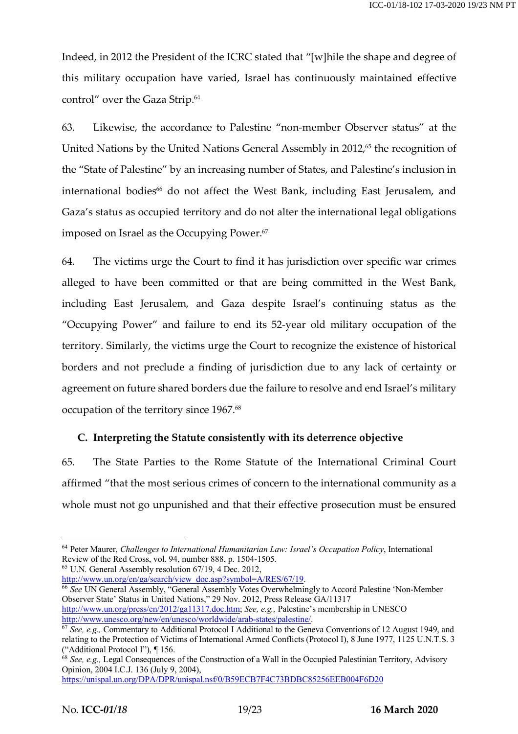Indeed, in 2012 the President of the ICRC stated that "[w]hile the shape and degree of this military occupation have varied, Israel has continuously maintained effective control" over the Gaza Strip.<sup>64</sup>

63. Likewise, the accordance to Palestine "non-member Observer status" at the United Nations by the United Nations General Assembly in 2012,<sup>65</sup> the recognition of the "State of Palestine" by an increasing number of States, and Palestine's inclusion in international bodies<sup>66</sup> do not affect the West Bank, including East Jerusalem, and Gaza's status as occupied territory and do not alter the international legal obligations imposed on Israel as the Occupying Power.<sup>67</sup>

64. The victims urge the Court to find it has jurisdiction over specific war crimes alleged to have been committed or that are being committed in the West Bank, including East Jerusalem, and Gaza despite Israel's continuing status as the "Occupying Power" and failure to end its 52-year old military occupation of the territory. Similarly, the victims urge the Court to recognize the existence of historical borders and not preclude a finding of jurisdiction due to any lack of certainty or agreement on future shared borders due the failure to resolve and end Israel's military occupation of the territory since 1967. 68

### **C. Interpreting the Statute consistently with its deterrence objective**

65. The State Parties to the Rome Statute of the International Criminal Court affirmed "that the most serious crimes of concern to the international community as a whole must not go unpunished and that their effective prosecution must be ensured

<sup>65</sup> U.N. General Assembly resolution 67/19, 4 Dec. 2012,<br>http://www.un.org/en/ga/search/view doc.asp?symbol= $A/RES/67/19$ .

<sup>66</sup> See UN General Assembly, "General Assembly Votes Overwhelmingly to Accord Palestine 'Non-Member Observer State' Status in United Nations," 29 Nov. 2012, Press Release GA/11317 http://www.un.org/press/en/2012/ga11317.doc.htm; *See, e.g.,* Palestine's membership in UNESCO

<sup>&</sup>lt;sup>64</sup> Peter Maurer, *Challenges to International Humanitarian Law: Israel's Occupation Policy*, International Review of the Red Cross, vol. 94, number 888, p. 1504-1505.

<sup>&</sup>lt;sup>67</sup> *See, e.g., Commentary to Additional Protocol I Additional to the Geneva Conventions of 12 August 1949, and* relating to the Protection of Victims of International Armed Conflicts (Protocol I), 8 June 1977, 1125 U.N.T.S. 3 ("Additional Protocol I"), ¶ 156.

<sup>&</sup>lt;sup>68</sup> *See, e.g.*, Legal Consequences of the Construction of a Wall in the Occupied Palestinian Territory, Advisory Opinion, 2004 I.C.J. 136 (July 9, 2004),

https://unispal.un.org/DPA/DPR/unispal.nsf/0/B59ECB7F4C73BDBC85256EEB004F6D20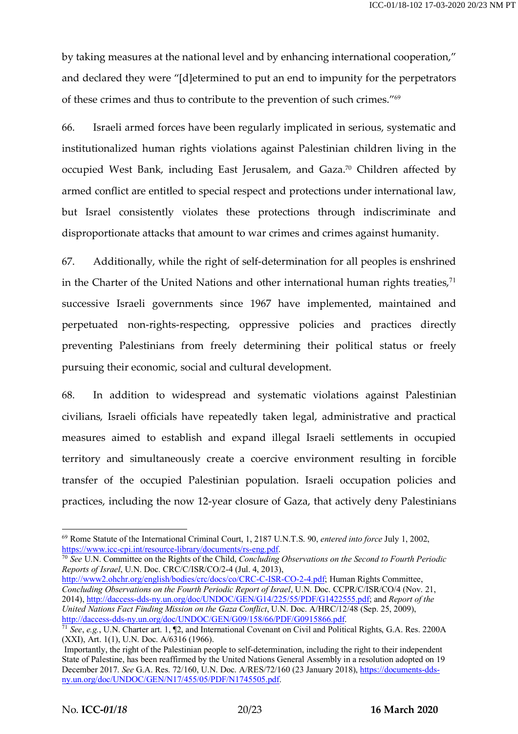by taking measures at the national level and by enhancing international cooperation," and declared they were "[d]etermined to put an end to impunity for the perpetrators of these crimes and thus to contribute to the prevention of such crimes."69

66. Israeli armed forces have been regularly implicated in serious, systematic and institutionalized human rights violations against Palestinian children living in the occupied West Bank, including East Jerusalem, and Gaza.70 Children affected by armed conflict are entitled to special respect and protections under international law, but Israel consistently violates these protections through indiscriminate and disproportionate attacks that amount to war crimes and crimes against humanity.

67. Additionally, while the right of self-determination for all peoples is enshrined in the Charter of the United Nations and other international human rights treaties, $71$ successive Israeli governments since 1967 have implemented, maintained and perpetuated non-rights-respecting, oppressive policies and practices directly preventing Palestinians from freely determining their political status or freely pursuing their economic, social and cultural development.

68. In addition to widespread and systematic violations against Palestinian civilians, Israeli officials have repeatedly taken legal, administrative and practical measures aimed to establish and expand illegal Israeli settlements in occupied territory and simultaneously create a coercive environment resulting in forcible transfer of the occupied Palestinian population. Israeli occupation policies and practices, including the now 12-year closure of Gaza, that actively deny Palestinians

<sup>70</sup> *See* U.N. Committee on the Rights of the Child, *Concluding Observations on the Second to Fourth Periodic Reports of Israel*, U.N. Doc. CRC/C/ISR/CO/2-4 (Jul. 4, 2013),

 <sup>69</sup> Rome Statute of the International Criminal Court, 1, 2187 U.N.T.S. 90, *entered into force* July 1, 2002, https://www.icc-cpi.int/resource-library/documents/rs-eng.pdf.

http://www2.ohchr.org/english/bodies/crc/docs/co/CRC-C-ISR-CO-2-4.pdf; Human Rights Committee, *Concluding Observations on the Fourth Periodic Report of Israel*, U.N. Doc. CCPR/C/ISR/CO/4 (Nov. 21, 2014), http://daccess-dds-ny.un.org/doc/UNDOC/GEN/G14/225/55/PDF/G1422555.pdf; and *Report of the United Nations Fact Finding Mission on the Gaza Conflict*, U.N. Doc. A/HRC/12/48 (Sep. 25, 2009), http://daccess-dds-ny.un.org/doc/UNDOC/GEN/G09/158/66/PDF/G0915866.pdf.

<sup>71</sup> *See*, *e.g.*, U.N. Charter art. 1, ¶2, and International Covenant on Civil and Political Rights, G.A. Res. 2200A (XXI), Art. 1(1), U.N. Doc. A/6316 (1966).

Importantly, the right of the Palestinian people to self-determination, including the right to their independent State of Palestine, has been reaffirmed by the United Nations General Assembly in a resolution adopted on 19 December 2017. *See* G.A. Res. 72/160, U.N. Doc. A/RES/72/160 (23 January 2018), https://documents-ddsny.un.org/doc/UNDOC/GEN/N17/455/05/PDF/N1745505.pdf.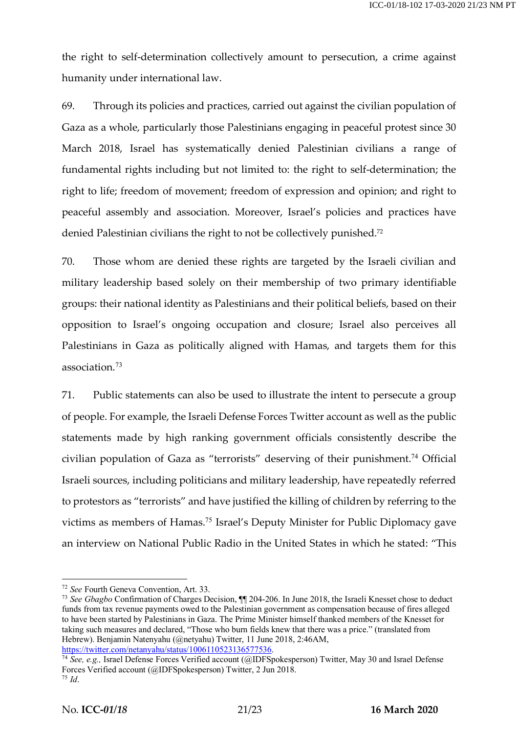the right to self-determination collectively amount to persecution, a crime against humanity under international law.

69. Through its policies and practices, carried out against the civilian population of Gaza as a whole, particularly those Palestinians engaging in peaceful protest since 30 March 2018, Israel has systematically denied Palestinian civilians a range of fundamental rights including but not limited to: the right to self-determination; the right to life; freedom of movement; freedom of expression and opinion; and right to peaceful assembly and association. Moreover, Israel's policies and practices have denied Palestinian civilians the right to not be collectively punished.72

70. Those whom are denied these rights are targeted by the Israeli civilian and military leadership based solely on their membership of two primary identifiable groups: their national identity as Palestinians and their political beliefs, based on their opposition to Israel's ongoing occupation and closure; Israel also perceives all Palestinians in Gaza as politically aligned with Hamas, and targets them for this association.<sup>73</sup>

71. Public statements can also be used to illustrate the intent to persecute a group of people. For example, the Israeli Defense Forces Twitter account as well as the public statements made by high ranking government officials consistently describe the civilian population of Gaza as "terrorists" deserving of their punishment.<sup>74</sup> Official Israeli sources, including politicians and military leadership, have repeatedly referred to protestors as "terrorists" and have justified the killing of children by referring to the victims as members of Hamas.<sup>75</sup> Israel's Deputy Minister for Public Diplomacy gave an interview on National Public Radio in the United States in which he stated: "This

<sup>73</sup> *See Gbagbo* Confirmation of Charges Decision, ¶¶ 204-206. In June 2018, the Israeli Knesset chose to deduct funds from tax revenue payments owed to the Palestinian government as compensation because of fires alleged to have been started by Palestinians in Gaza. The Prime Minister himself thanked members of the Knesset for taking such measures and declared, "Those who burn fields knew that there was a price." (translated from Hebrew). Benjamin Natenyahu (@netyahu) Twitter, 11 June 2018, 2:46AM, https://twitter.com/netanyahu/status/1006110523136577536.

<sup>74</sup> *See, e.g., Israel Defense Forces Verified account (@IDFSpokesperson)* Twitter, May 30 and Israel Defense Forces Verified account (@IDFSpokesperson) Twitter, 2 Jun 2018.

 <sup>72</sup> *See* Fourth Geneva Convention, Art. 33.

<sup>75</sup> *Id*.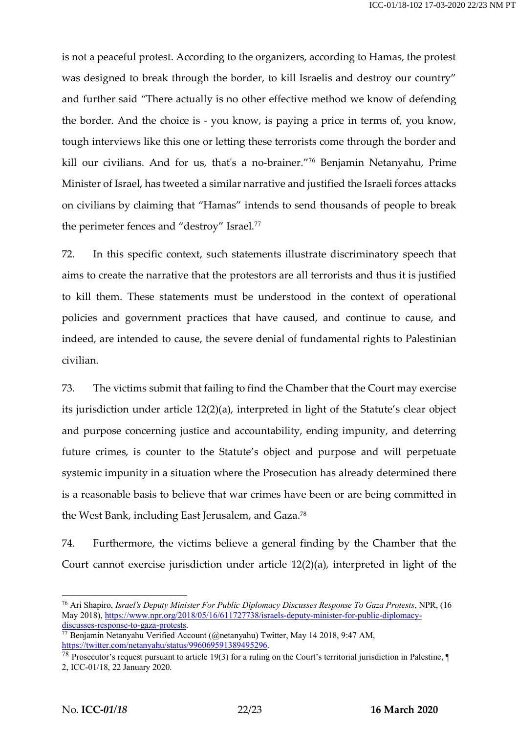is not a peaceful protest. According to the organizers, according to Hamas, the protest was designed to break through the border, to kill Israelis and destroy our country" and further said "There actually is no other effective method we know of defending the border. And the choice is - you know, is paying a price in terms of, you know, tough interviews like this one or letting these terrorists come through the border and kill our civilians. And for us, that's a no-brainer."<sup>76</sup> Benjamin Netanyahu, Prime Minister of Israel, has tweeted a similar narrative and justified the Israeli forces attacks on civilians by claiming that "Hamas" intends to send thousands of people to break the perimeter fences and "destroy" Israel.<sup>77</sup>

72. In this specific context, such statements illustrate discriminatory speech that aims to create the narrative that the protestors are all terrorists and thus it is justified to kill them. These statements must be understood in the context of operational policies and government practices that have caused, and continue to cause, and indeed, are intended to cause, the severe denial of fundamental rights to Palestinian civilian.

73. The victims submit that failing to find the Chamber that the Court may exercise its jurisdiction under article 12(2)(a), interpreted in light of the Statute's clear object and purpose concerning justice and accountability, ending impunity, and deterring future crimes, is counter to the Statute's object and purpose and will perpetuate systemic impunity in a situation where the Prosecution has already determined there is a reasonable basis to believe that war crimes have been or are being committed in the West Bank, including East Jerusalem, and Gaza.78

74. Furthermore, the victims believe a general finding by the Chamber that the Court cannot exercise jurisdiction under article 12(2)(a), interpreted in light of the

 <sup>76</sup> Ari Shapiro, *Israel's Deputy Minister For Public Diplomacy Discusses Response To Gaza Protests*, NPR, (16 May 2018), https://www.npr.org/2018/05/16/611727738/israels-deputy-minister-for-public-diplomacydiscusses-response-to-gaza-protests.

<sup>77</sup> Benjamin Netanyahu Verified Account (@netanyahu) Twitter, May 14 2018, 9:47 AM, https://twitter.com/netanyahu/status/996069591389495296.

<sup>78</sup> Prosecutor's request pursuant to article 19(3) for a ruling on the Court's territorial jurisdiction in Palestine, ¶ 2, ICC-01/18, 22 January 2020.